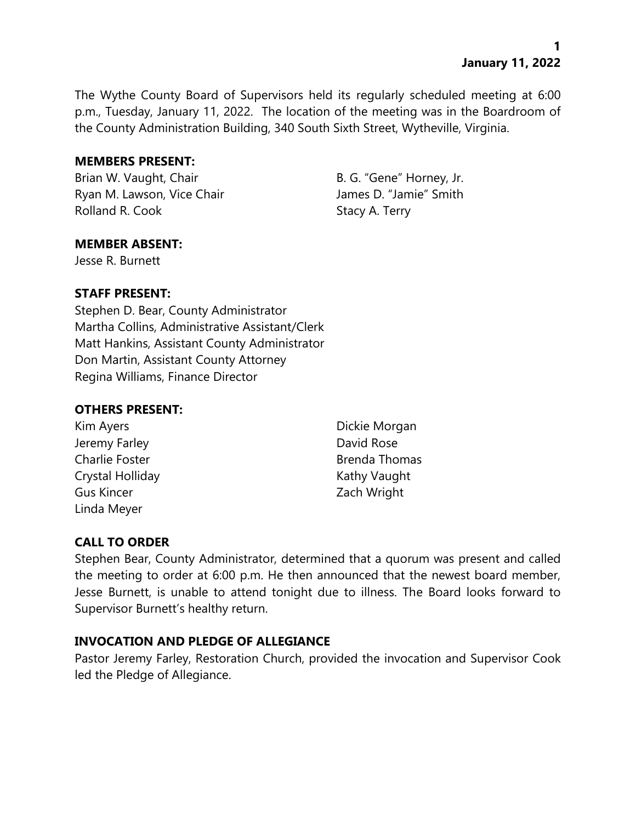The Wythe County Board of Supervisors held its regularly scheduled meeting at 6:00 p.m., Tuesday, January 11, 2022. The location of the meeting was in the Boardroom of the County Administration Building, 340 South Sixth Street, Wytheville, Virginia.

### **MEMBERS PRESENT:**

Brian W. Vaught, Chair B. G. "Gene" Horney, Jr. Ryan M. Lawson, Vice Chair **James D. "Jamie"** Smith Rolland R. Cook Stacy A. Terry

## **MEMBER ABSENT:**

Jesse R. Burnett

## **STAFF PRESENT:**

Stephen D. Bear, County Administrator Martha Collins, Administrative Assistant/Clerk Matt Hankins, Assistant County Administrator Don Martin, Assistant County Attorney Regina Williams, Finance Director

## **OTHERS PRESENT:**

- Jeremy Farley **David Rose** Crystal Holliday **Kathy Vaught** Kathy Vaught Gus Kincer **Gus Kincer Zach Wright** Linda Meyer
- Kim Ayers **Dickie Morgan** Charlie Foster **Brenda Thomas**

# **CALL TO ORDER**

Stephen Bear, County Administrator, determined that a quorum was present and called the meeting to order at 6:00 p.m. He then announced that the newest board member, Jesse Burnett, is unable to attend tonight due to illness. The Board looks forward to Supervisor Burnett's healthy return.

## **INVOCATION AND PLEDGE OF ALLEGIANCE**

Pastor Jeremy Farley, Restoration Church, provided the invocation and Supervisor Cook led the Pledge of Allegiance.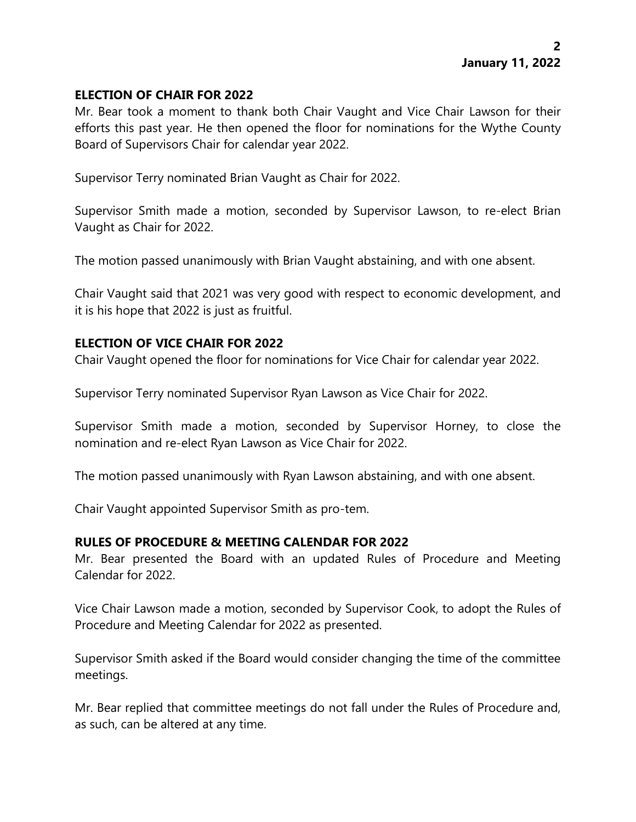### **ELECTION OF CHAIR FOR 2022**

Mr. Bear took a moment to thank both Chair Vaught and Vice Chair Lawson for their efforts this past year. He then opened the floor for nominations for the Wythe County Board of Supervisors Chair for calendar year 2022.

Supervisor Terry nominated Brian Vaught as Chair for 2022.

Supervisor Smith made a motion, seconded by Supervisor Lawson, to re-elect Brian Vaught as Chair for 2022.

The motion passed unanimously with Brian Vaught abstaining, and with one absent.

Chair Vaught said that 2021 was very good with respect to economic development, and it is his hope that 2022 is just as fruitful.

## **ELECTION OF VICE CHAIR FOR 2022**

Chair Vaught opened the floor for nominations for Vice Chair for calendar year 2022.

Supervisor Terry nominated Supervisor Ryan Lawson as Vice Chair for 2022.

Supervisor Smith made a motion, seconded by Supervisor Horney, to close the nomination and re-elect Ryan Lawson as Vice Chair for 2022.

The motion passed unanimously with Ryan Lawson abstaining, and with one absent.

Chair Vaught appointed Supervisor Smith as pro-tem.

## **RULES OF PROCEDURE & MEETING CALENDAR FOR 2022**

Mr. Bear presented the Board with an updated Rules of Procedure and Meeting Calendar for 2022.

Vice Chair Lawson made a motion, seconded by Supervisor Cook, to adopt the Rules of Procedure and Meeting Calendar for 2022 as presented.

Supervisor Smith asked if the Board would consider changing the time of the committee meetings.

Mr. Bear replied that committee meetings do not fall under the Rules of Procedure and, as such, can be altered at any time.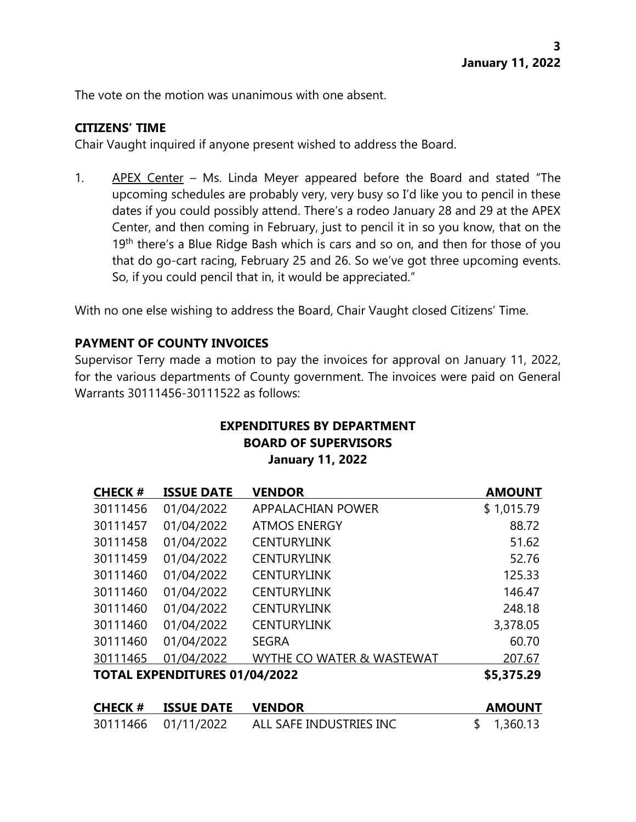The vote on the motion was unanimous with one absent.

### **CITIZENS' TIME**

Chair Vaught inquired if anyone present wished to address the Board.

1. APEX Center – Ms. Linda Meyer appeared before the Board and stated "The upcoming schedules are probably very, very busy so I'd like you to pencil in these dates if you could possibly attend. There's a rodeo January 28 and 29 at the APEX Center, and then coming in February, just to pencil it in so you know, that on the 19<sup>th</sup> there's a Blue Ridge Bash which is cars and so on, and then for those of you that do go-cart racing, February 25 and 26. So we've got three upcoming events. So, if you could pencil that in, it would be appreciated."

With no one else wishing to address the Board, Chair Vaught closed Citizens' Time.

## **PAYMENT OF COUNTY INVOICES**

Supervisor Terry made a motion to pay the invoices for approval on January 11, 2022, for the various departments of County government. The invoices were paid on General Warrants 30111456-30111522 as follows:

# **EXPENDITURES BY DEPARTMENT BOARD OF SUPERVISORS January 11, 2022**

| <b>CHECK#</b>                        | <b>ISSUE DATE</b> | <b>VENDOR</b>             | <b>AMOUNT</b> |
|--------------------------------------|-------------------|---------------------------|---------------|
| 30111456                             | 01/04/2022        | <b>APPALACHIAN POWER</b>  | \$1,015.79    |
| 30111457                             | 01/04/2022        | <b>ATMOS ENERGY</b>       | 88.72         |
| 30111458                             | 01/04/2022        | <b>CENTURYLINK</b>        | 51.62         |
| 30111459                             | 01/04/2022        | <b>CENTURYLINK</b>        | 52.76         |
| 30111460                             | 01/04/2022        | <b>CENTURYLINK</b>        | 125.33        |
| 30111460                             | 01/04/2022        | <b>CENTURYLINK</b>        | 146.47        |
| 30111460                             | 01/04/2022        | <b>CENTURYLINK</b>        | 248.18        |
| 30111460                             | 01/04/2022        | <b>CENTURYLINK</b>        | 3,378.05      |
| 30111460                             | 01/04/2022        | <b>SEGRA</b>              | 60.70         |
| 30111465                             | 01/04/2022        | WYTHE CO WATER & WASTEWAT | 207.67        |
| <b>TOTAL EXPENDITURES 01/04/2022</b> |                   |                           | \$5,375.29    |

| <b>CHECK #</b> | <b>ISSUE DATE</b>   | <b>VENDOR</b>           | <b>AMOUNT</b> |
|----------------|---------------------|-------------------------|---------------|
|                | 30111466 01/11/2022 | ALL SAFE INDUSTRIES INC | \$1,360.13    |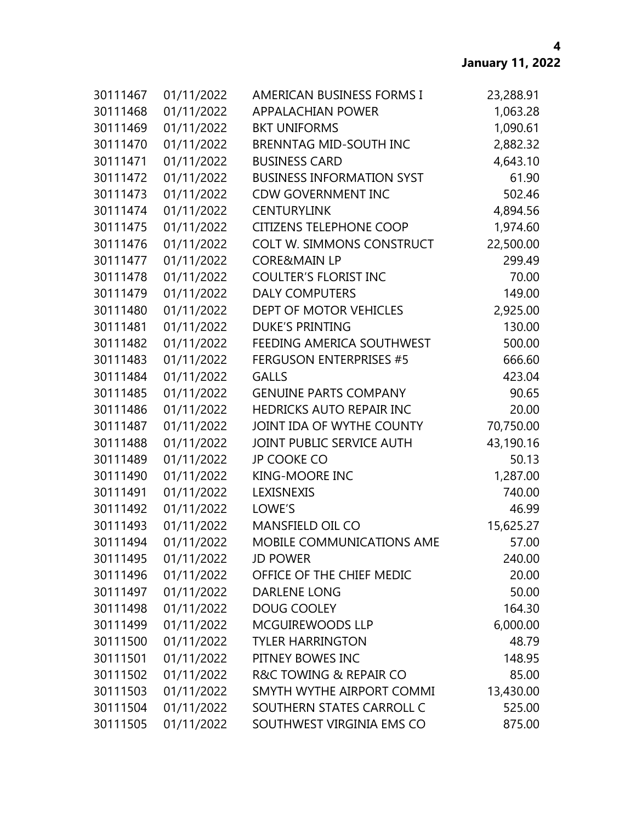| 30111467 | 01/11/2022 | AMERICAN BUSINESS FORMS I        | 23,288.91 |
|----------|------------|----------------------------------|-----------|
| 30111468 | 01/11/2022 | <b>APPALACHIAN POWER</b>         | 1,063.28  |
| 30111469 | 01/11/2022 | <b>BKT UNIFORMS</b>              | 1,090.61  |
| 30111470 | 01/11/2022 | <b>BRENNTAG MID-SOUTH INC</b>    | 2,882.32  |
| 30111471 | 01/11/2022 | <b>BUSINESS CARD</b>             | 4,643.10  |
| 30111472 | 01/11/2022 | <b>BUSINESS INFORMATION SYST</b> | 61.90     |
| 30111473 | 01/11/2022 | <b>CDW GOVERNMENT INC</b>        | 502.46    |
| 30111474 | 01/11/2022 | <b>CENTURYLINK</b>               | 4,894.56  |
| 30111475 | 01/11/2022 | <b>CITIZENS TELEPHONE COOP</b>   | 1,974.60  |
| 30111476 | 01/11/2022 | COLT W. SIMMONS CONSTRUCT        | 22,500.00 |
| 30111477 | 01/11/2022 | <b>CORE&amp;MAIN LP</b>          | 299.49    |
| 30111478 | 01/11/2022 | <b>COULTER'S FLORIST INC</b>     | 70.00     |
| 30111479 | 01/11/2022 | <b>DALY COMPUTERS</b>            | 149.00    |
| 30111480 | 01/11/2022 | DEPT OF MOTOR VEHICLES           | 2,925.00  |
| 30111481 | 01/11/2022 | <b>DUKE'S PRINTING</b>           | 130.00    |
| 30111482 | 01/11/2022 | FEEDING AMERICA SOUTHWEST        | 500.00    |
| 30111483 | 01/11/2022 | <b>FERGUSON ENTERPRISES #5</b>   | 666.60    |
| 30111484 | 01/11/2022 | <b>GALLS</b>                     | 423.04    |
| 30111485 | 01/11/2022 | <b>GENUINE PARTS COMPANY</b>     | 90.65     |
| 30111486 | 01/11/2022 | HEDRICKS AUTO REPAIR INC         | 20.00     |
| 30111487 | 01/11/2022 | JOINT IDA OF WYTHE COUNTY        | 70,750.00 |
| 30111488 | 01/11/2022 | JOINT PUBLIC SERVICE AUTH        | 43,190.16 |
| 30111489 | 01/11/2022 | <b>JP COOKE CO</b>               | 50.13     |
| 30111490 | 01/11/2022 | KING-MOORE INC                   | 1,287.00  |
| 30111491 | 01/11/2022 | LEXISNEXIS                       | 740.00    |
| 30111492 | 01/11/2022 | LOWE'S                           | 46.99     |
| 30111493 | 01/11/2022 | MANSFIELD OIL CO                 | 15,625.27 |
| 30111494 | 01/11/2022 | MOBILE COMMUNICATIONS AME        | 57.00     |
| 30111495 | 01/11/2022 | <b>JD POWER</b>                  | 240.00    |
| 30111496 | 01/11/2022 | OFFICE OF THE CHIEF MEDIC        | 20.00     |
| 30111497 | 01/11/2022 | <b>DARLENE LONG</b>              | 50.00     |
| 30111498 | 01/11/2022 | <b>DOUG COOLEY</b>               | 164.30    |
| 30111499 | 01/11/2022 | MCGUIREWOODS LLP                 | 6,000.00  |
| 30111500 | 01/11/2022 | <b>TYLER HARRINGTON</b>          | 48.79     |
| 30111501 | 01/11/2022 | PITNEY BOWES INC                 | 148.95    |
| 30111502 | 01/11/2022 | R&C TOWING & REPAIR CO           | 85.00     |
| 30111503 | 01/11/2022 | SMYTH WYTHE AIRPORT COMMI        | 13,430.00 |
| 30111504 | 01/11/2022 | SOUTHERN STATES CARROLL C        | 525.00    |
| 30111505 | 01/11/2022 | SOUTHWEST VIRGINIA EMS CO        | 875.00    |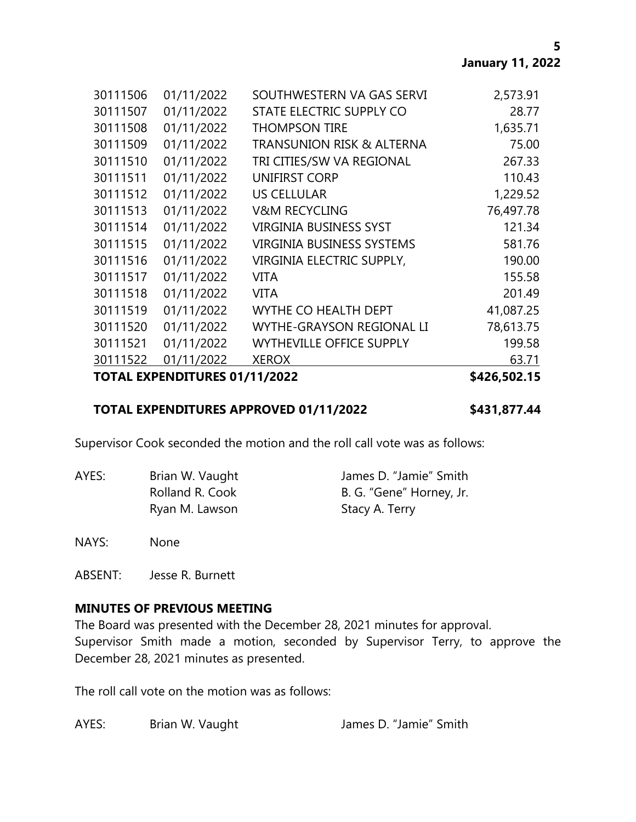**5**

| <b>TOTAL EXPENDITURES 01/11/2022</b> |                                      |           |
|--------------------------------------|--------------------------------------|-----------|
| 01/11/2022                           | <b>XEROX</b>                         | 63.71     |
| 01/11/2022                           | <b>WYTHEVILLE OFFICE SUPPLY</b>      | 199.58    |
| 01/11/2022                           | <b>WYTHE-GRAYSON REGIONAL LI</b>     | 78,613.75 |
| 01/11/2022                           | WYTHE CO HEALTH DEPT                 | 41,087.25 |
| 01/11/2022                           | <b>VITA</b>                          | 201.49    |
| 01/11/2022                           | <b>VITA</b>                          | 155.58    |
| 01/11/2022                           | VIRGINIA ELECTRIC SUPPLY,            | 190.00    |
| 01/11/2022                           | <b>VIRGINIA BUSINESS SYSTEMS</b>     | 581.76    |
| 01/11/2022                           | <b>VIRGINIA BUSINESS SYST</b>        | 121.34    |
| 01/11/2022                           | <b>V&amp;M RECYCLING</b>             | 76,497.78 |
| 01/11/2022                           | <b>US CELLULAR</b>                   | 1,229.52  |
| 01/11/2022                           | <b>UNIFIRST CORP</b>                 | 110.43    |
| 01/11/2022                           | TRI CITIES/SW VA REGIONAL            | 267.33    |
| 01/11/2022                           | <b>TRANSUNION RISK &amp; ALTERNA</b> | 75.00     |
| 01/11/2022                           | <b>THOMPSON TIRE</b>                 | 1,635.71  |
| 01/11/2022                           | STATE ELECTRIC SUPPLY CO             | 28.77     |
| 01/11/2022                           | SOUTHWESTERN VA GAS SERVI            | 2,573.91  |
|                                      |                                      |           |

### **TOTAL EXPENDITURES APPROVED 01/11/2022 \$431,877.44**

Supervisor Cook seconded the motion and the roll call vote was as follows:

AYES: Brian W. Vaught James D. "Jamie" Smith Ryan M. Lawson Stacy A. Terry

Rolland R. Cook B. G. "Gene" Horney, Jr.

NAYS: None

ABSENT: Jesse R. Burnett

## **MINUTES OF PREVIOUS MEETING**

The Board was presented with the December 28, 2021 minutes for approval. Supervisor Smith made a motion, seconded by Supervisor Terry, to approve the December 28, 2021 minutes as presented.

The roll call vote on the motion was as follows:

AYES: Brian W. Vaught James D. "Jamie" Smith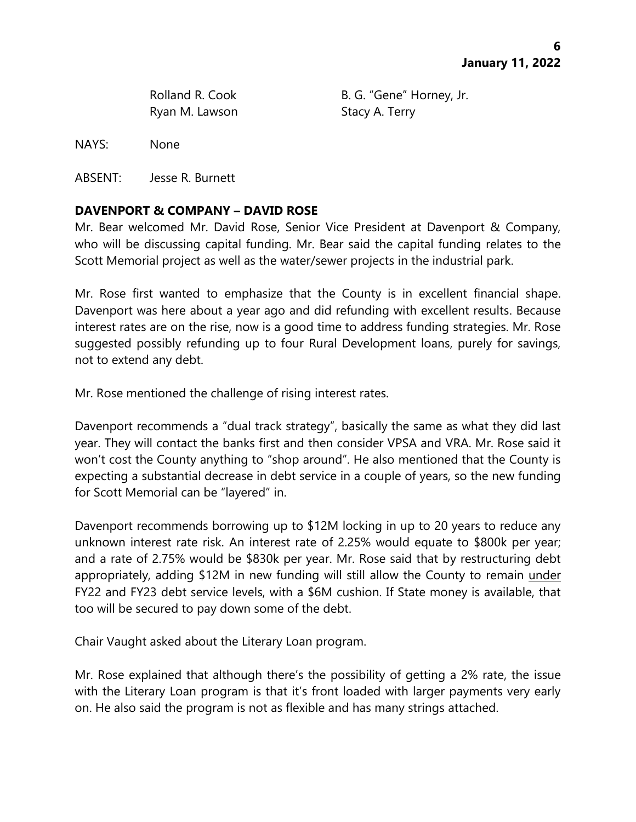Ryan M. Lawson Stacy A. Terry

Rolland R. Cook B. G. "Gene" Horney, Jr.

NAYS: None

ABSENT: Jesse R. Burnett

## **DAVENPORT & COMPANY – DAVID ROSE**

Mr. Bear welcomed Mr. David Rose, Senior Vice President at Davenport & Company, who will be discussing capital funding. Mr. Bear said the capital funding relates to the Scott Memorial project as well as the water/sewer projects in the industrial park.

Mr. Rose first wanted to emphasize that the County is in excellent financial shape. Davenport was here about a year ago and did refunding with excellent results. Because interest rates are on the rise, now is a good time to address funding strategies. Mr. Rose suggested possibly refunding up to four Rural Development loans, purely for savings, not to extend any debt.

Mr. Rose mentioned the challenge of rising interest rates.

Davenport recommends a "dual track strategy", basically the same as what they did last year. They will contact the banks first and then consider VPSA and VRA. Mr. Rose said it won't cost the County anything to "shop around". He also mentioned that the County is expecting a substantial decrease in debt service in a couple of years, so the new funding for Scott Memorial can be "layered" in.

Davenport recommends borrowing up to \$12M locking in up to 20 years to reduce any unknown interest rate risk. An interest rate of 2.25% would equate to \$800k per year; and a rate of 2.75% would be \$830k per year. Mr. Rose said that by restructuring debt appropriately, adding \$12M in new funding will still allow the County to remain under FY22 and FY23 debt service levels, with a \$6M cushion. If State money is available, that too will be secured to pay down some of the debt.

Chair Vaught asked about the Literary Loan program.

Mr. Rose explained that although there's the possibility of getting a 2% rate, the issue with the Literary Loan program is that it's front loaded with larger payments very early on. He also said the program is not as flexible and has many strings attached.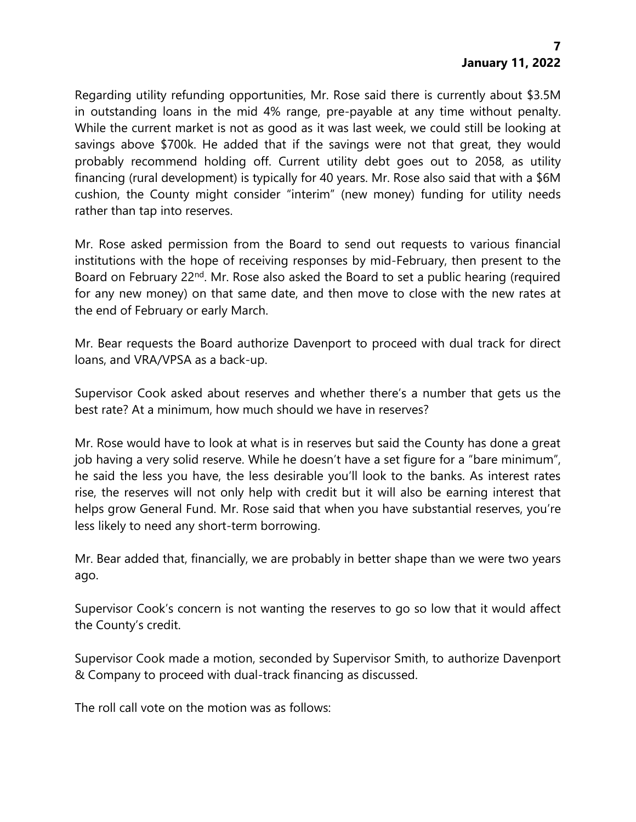Regarding utility refunding opportunities, Mr. Rose said there is currently about \$3.5M in outstanding loans in the mid 4% range, pre-payable at any time without penalty. While the current market is not as good as it was last week, we could still be looking at savings above \$700k. He added that if the savings were not that great, they would probably recommend holding off. Current utility debt goes out to 2058, as utility financing (rural development) is typically for 40 years. Mr. Rose also said that with a \$6M cushion, the County might consider "interim" (new money) funding for utility needs rather than tap into reserves.

Mr. Rose asked permission from the Board to send out requests to various financial institutions with the hope of receiving responses by mid-February, then present to the Board on February 22<sup>nd</sup>. Mr. Rose also asked the Board to set a public hearing (required for any new money) on that same date, and then move to close with the new rates at the end of February or early March.

Mr. Bear requests the Board authorize Davenport to proceed with dual track for direct loans, and VRA/VPSA as a back-up.

Supervisor Cook asked about reserves and whether there's a number that gets us the best rate? At a minimum, how much should we have in reserves?

Mr. Rose would have to look at what is in reserves but said the County has done a great job having a very solid reserve. While he doesn't have a set figure for a "bare minimum", he said the less you have, the less desirable you'll look to the banks. As interest rates rise, the reserves will not only help with credit but it will also be earning interest that helps grow General Fund. Mr. Rose said that when you have substantial reserves, you're less likely to need any short-term borrowing.

Mr. Bear added that, financially, we are probably in better shape than we were two years ago.

Supervisor Cook's concern is not wanting the reserves to go so low that it would affect the County's credit.

Supervisor Cook made a motion, seconded by Supervisor Smith, to authorize Davenport & Company to proceed with dual-track financing as discussed.

The roll call vote on the motion was as follows: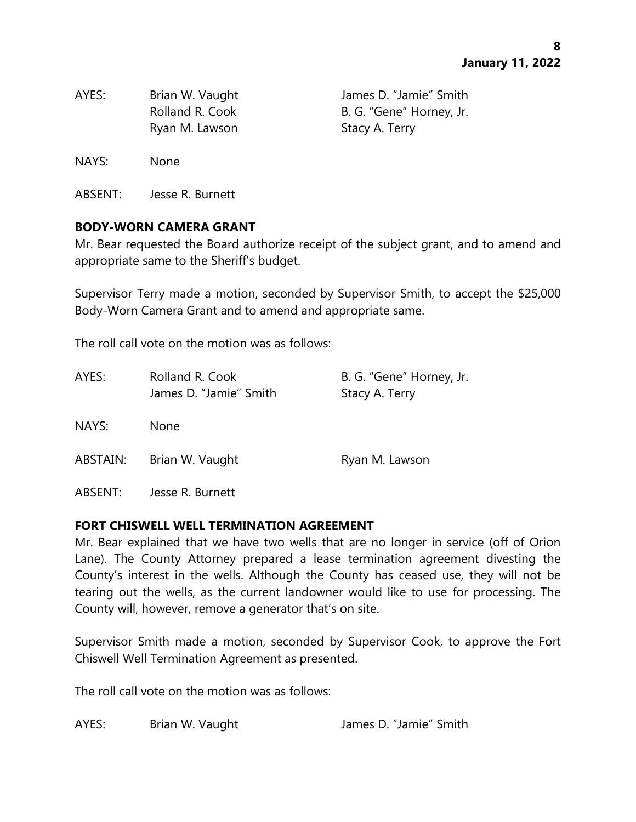| AYES: | Brian W. Vaught | James D. "Jamie" Smith   |
|-------|-----------------|--------------------------|
|       | Rolland R. Cook | B. G. "Gene" Horney, Jr. |
|       | Ryan M. Lawson  | Stacy A. Terry           |

NAYS: None

ABSENT: Jesse R. Burnett

#### **BODY-WORN CAMERA GRANT**

Mr. Bear requested the Board authorize receipt of the subject grant, and to amend and appropriate same to the Sheriff's budget.

Supervisor Terry made a motion, seconded by Supervisor Smith, to accept the \$25,000 Body-Worn Camera Grant and to amend and appropriate same.

The roll call vote on the motion was as follows:

| AYES:    | Rolland R. Cook<br>James D. "Jamie" Smith | B. G. "Gene" Horney, Jr.<br>Stacy A. Terry |
|----------|-------------------------------------------|--------------------------------------------|
| NAYS:    | <b>None</b>                               |                                            |
| ABSTAIN: | Brian W. Vaught                           | Ryan M. Lawson                             |

ABSENT: Jesse R. Burnett

#### **FORT CHISWELL WELL TERMINATION AGREEMENT**

Mr. Bear explained that we have two wells that are no longer in service (off of Orion Lane). The County Attorney prepared a lease termination agreement divesting the County's interest in the wells. Although the County has ceased use, they will not be tearing out the wells, as the current landowner would like to use for processing. The County will, however, remove a generator that's on site.

Supervisor Smith made a motion, seconded by Supervisor Cook, to approve the Fort Chiswell Well Termination Agreement as presented.

The roll call vote on the motion was as follows:

AYES: Brian W. Vaught James D. "Jamie" Smith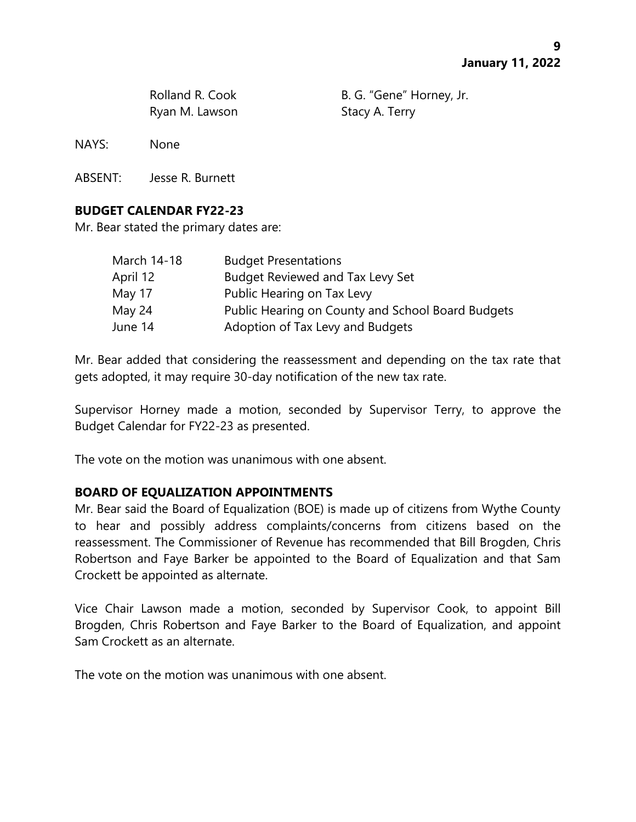Ryan M. Lawson Stacy A. Terry

Rolland R. Cook B. G. "Gene" Horney, Jr.

NAYS: None

ABSENT: Jesse R. Burnett

# **BUDGET CALENDAR FY22-23**

Mr. Bear stated the primary dates are:

| March 14-18 | <b>Budget Presentations</b>                       |
|-------------|---------------------------------------------------|
| April 12    | <b>Budget Reviewed and Tax Levy Set</b>           |
| May 17      | Public Hearing on Tax Levy                        |
| May 24      | Public Hearing on County and School Board Budgets |
| June 14     | Adoption of Tax Levy and Budgets                  |

Mr. Bear added that considering the reassessment and depending on the tax rate that gets adopted, it may require 30-day notification of the new tax rate.

Supervisor Horney made a motion, seconded by Supervisor Terry, to approve the Budget Calendar for FY22-23 as presented.

The vote on the motion was unanimous with one absent.

## **BOARD OF EQUALIZATION APPOINTMENTS**

Mr. Bear said the Board of Equalization (BOE) is made up of citizens from Wythe County to hear and possibly address complaints/concerns from citizens based on the reassessment. The Commissioner of Revenue has recommended that Bill Brogden, Chris Robertson and Faye Barker be appointed to the Board of Equalization and that Sam Crockett be appointed as alternate.

Vice Chair Lawson made a motion, seconded by Supervisor Cook, to appoint Bill Brogden, Chris Robertson and Faye Barker to the Board of Equalization, and appoint Sam Crockett as an alternate.

The vote on the motion was unanimous with one absent.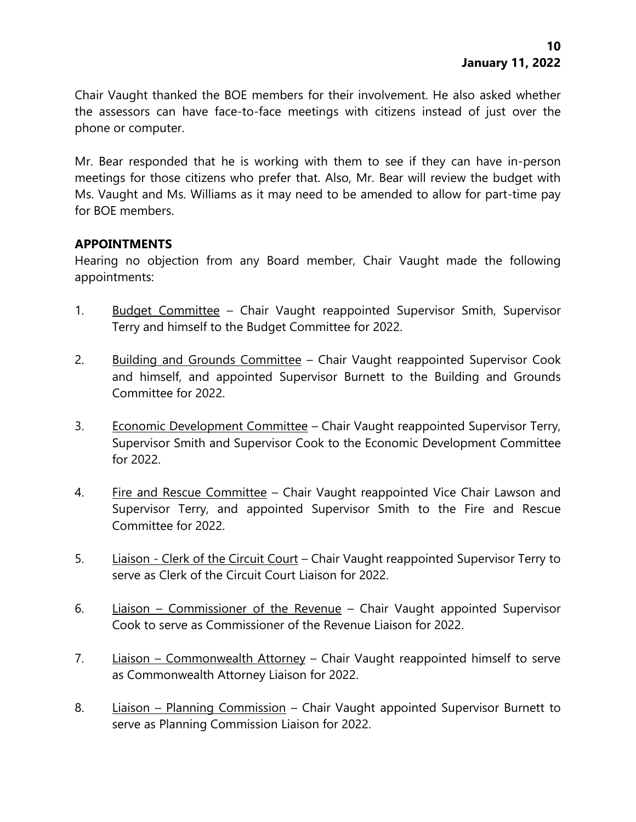Chair Vaught thanked the BOE members for their involvement. He also asked whether the assessors can have face-to-face meetings with citizens instead of just over the phone or computer.

Mr. Bear responded that he is working with them to see if they can have in-person meetings for those citizens who prefer that. Also, Mr. Bear will review the budget with Ms. Vaught and Ms. Williams as it may need to be amended to allow for part-time pay for BOE members.

## **APPOINTMENTS**

Hearing no objection from any Board member, Chair Vaught made the following appointments:

- 1. Budget Committee Chair Vaught reappointed Supervisor Smith, Supervisor Terry and himself to the Budget Committee for 2022.
- 2. Building and Grounds Committee Chair Vaught reappointed Supervisor Cook and himself, and appointed Supervisor Burnett to the Building and Grounds Committee for 2022.
- 3. Economic Development Committee Chair Vaught reappointed Supervisor Terry, Supervisor Smith and Supervisor Cook to the Economic Development Committee for 2022.
- 4. Fire and Rescue Committee Chair Vaught reappointed Vice Chair Lawson and Supervisor Terry, and appointed Supervisor Smith to the Fire and Rescue Committee for 2022.
- 5. Liaison Clerk of the Circuit Court Chair Vaught reappointed Supervisor Terry to serve as Clerk of the Circuit Court Liaison for 2022.
- 6. Liaison Commissioner of the Revenue Chair Vaught appointed Supervisor Cook to serve as Commissioner of the Revenue Liaison for 2022.
- 7. Liaison Commonwealth Attorney Chair Vaught reappointed himself to serve as Commonwealth Attorney Liaison for 2022.
- 8. Liaison Planning Commission Chair Vaught appointed Supervisor Burnett to serve as Planning Commission Liaison for 2022.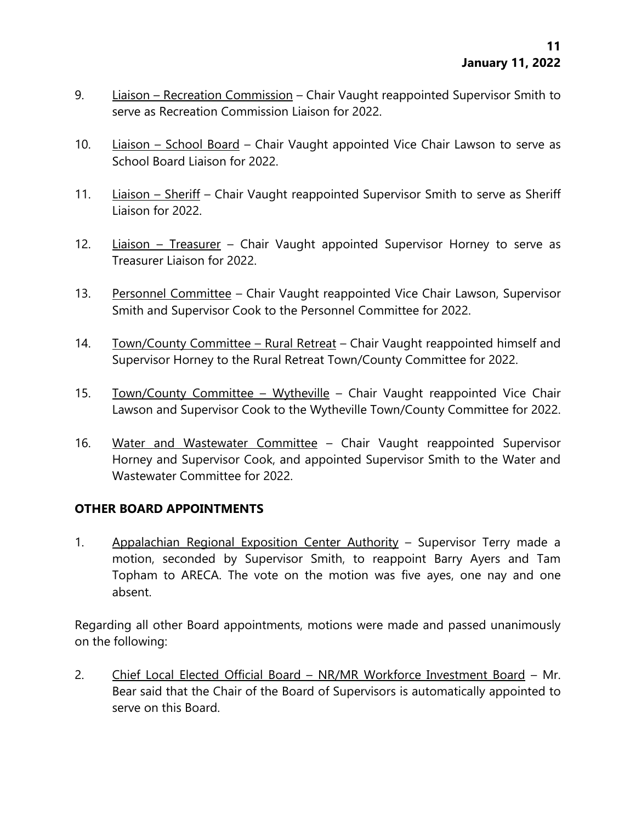- 9. Liaison Recreation Commission Chair Vaught reappointed Supervisor Smith to serve as Recreation Commission Liaison for 2022.
- 10. Liaison School Board Chair Vaught appointed Vice Chair Lawson to serve as School Board Liaison for 2022.
- 11. Liaison Sheriff Chair Vaught reappointed Supervisor Smith to serve as Sheriff Liaison for 2022.
- 12. Liaison Treasurer Chair Vaught appointed Supervisor Horney to serve as Treasurer Liaison for 2022.
- 13. Personnel Committee Chair Vaught reappointed Vice Chair Lawson, Supervisor Smith and Supervisor Cook to the Personnel Committee for 2022.
- 14. Town/County Committee Rural Retreat Chair Vaught reappointed himself and Supervisor Horney to the Rural Retreat Town/County Committee for 2022.
- 15. Town/County Committee Wytheville Chair Vaught reappointed Vice Chair Lawson and Supervisor Cook to the Wytheville Town/County Committee for 2022.
- 16. Water and Wastewater Committee Chair Vaught reappointed Supervisor Horney and Supervisor Cook, and appointed Supervisor Smith to the Water and Wastewater Committee for 2022.

## **OTHER BOARD APPOINTMENTS**

1. Appalachian Regional Exposition Center Authority – Supervisor Terry made a motion, seconded by Supervisor Smith, to reappoint Barry Ayers and Tam Topham to ARECA. The vote on the motion was five ayes, one nay and one absent.

Regarding all other Board appointments, motions were made and passed unanimously on the following:

2. Chief Local Elected Official Board – NR/MR Workforce Investment Board – Mr. Bear said that the Chair of the Board of Supervisors is automatically appointed to serve on this Board.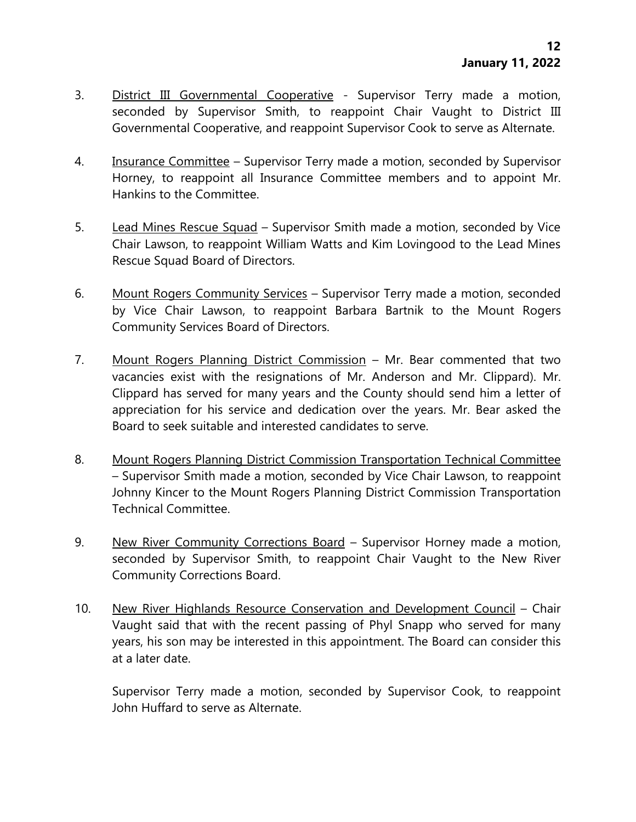- 3. District III Governmental Cooperative Supervisor Terry made a motion, seconded by Supervisor Smith, to reappoint Chair Vaught to District III Governmental Cooperative, and reappoint Supervisor Cook to serve as Alternate.
- 4. Insurance Committee Supervisor Terry made a motion, seconded by Supervisor Horney, to reappoint all Insurance Committee members and to appoint Mr. Hankins to the Committee.
- 5. Lead Mines Rescue Squad Supervisor Smith made a motion, seconded by Vice Chair Lawson, to reappoint William Watts and Kim Lovingood to the Lead Mines Rescue Squad Board of Directors.
- 6. Mount Rogers Community Services Supervisor Terry made a motion, seconded by Vice Chair Lawson, to reappoint Barbara Bartnik to the Mount Rogers Community Services Board of Directors.
- 7. Mount Rogers Planning District Commission Mr. Bear commented that two vacancies exist with the resignations of Mr. Anderson and Mr. Clippard). Mr. Clippard has served for many years and the County should send him a letter of appreciation for his service and dedication over the years. Mr. Bear asked the Board to seek suitable and interested candidates to serve.
- 8. Mount Rogers Planning District Commission Transportation Technical Committee – Supervisor Smith made a motion, seconded by Vice Chair Lawson, to reappoint Johnny Kincer to the Mount Rogers Planning District Commission Transportation Technical Committee.
- 9. New River Community Corrections Board Supervisor Horney made a motion, seconded by Supervisor Smith, to reappoint Chair Vaught to the New River Community Corrections Board.
- 10. New River Highlands Resource Conservation and Development Council Chair Vaught said that with the recent passing of Phyl Snapp who served for many years, his son may be interested in this appointment. The Board can consider this at a later date.

Supervisor Terry made a motion, seconded by Supervisor Cook, to reappoint John Huffard to serve as Alternate.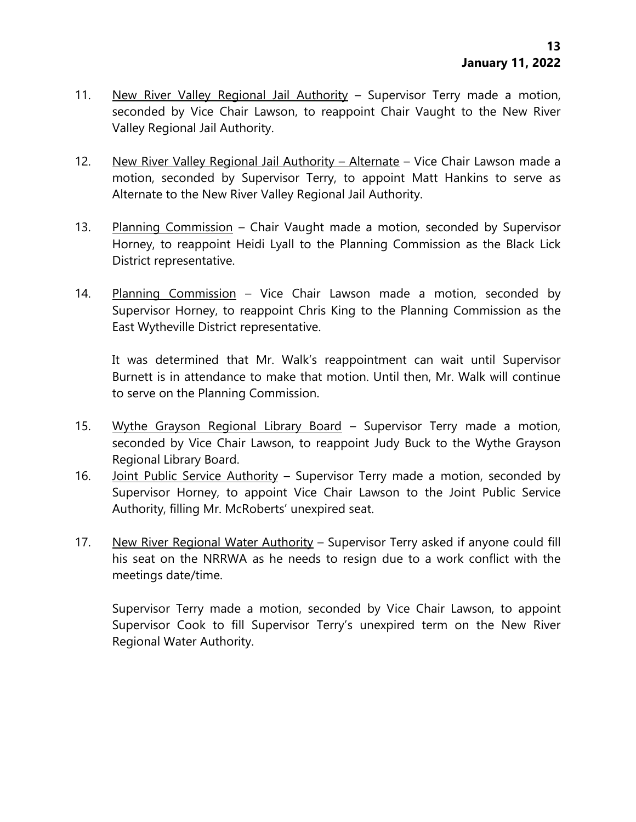- 11. New River Valley Regional Jail Authority Supervisor Terry made a motion, seconded by Vice Chair Lawson, to reappoint Chair Vaught to the New River Valley Regional Jail Authority.
- 12. New River Valley Regional Jail Authority Alternate Vice Chair Lawson made a motion, seconded by Supervisor Terry, to appoint Matt Hankins to serve as Alternate to the New River Valley Regional Jail Authority.
- 13. Planning Commission Chair Vaught made a motion, seconded by Supervisor Horney, to reappoint Heidi Lyall to the Planning Commission as the Black Lick District representative.
- 14. Planning Commission Vice Chair Lawson made a motion, seconded by Supervisor Horney, to reappoint Chris King to the Planning Commission as the East Wytheville District representative.

It was determined that Mr. Walk's reappointment can wait until Supervisor Burnett is in attendance to make that motion. Until then, Mr. Walk will continue to serve on the Planning Commission.

- 15. Wythe Grayson Regional Library Board Supervisor Terry made a motion, seconded by Vice Chair Lawson, to reappoint Judy Buck to the Wythe Grayson Regional Library Board.
- 16. Joint Public Service Authority Supervisor Terry made a motion, seconded by Supervisor Horney, to appoint Vice Chair Lawson to the Joint Public Service Authority, filling Mr. McRoberts' unexpired seat.
- 17. New River Regional Water Authority Supervisor Terry asked if anyone could fill his seat on the NRRWA as he needs to resign due to a work conflict with the meetings date/time.

Supervisor Terry made a motion, seconded by Vice Chair Lawson, to appoint Supervisor Cook to fill Supervisor Terry's unexpired term on the New River Regional Water Authority.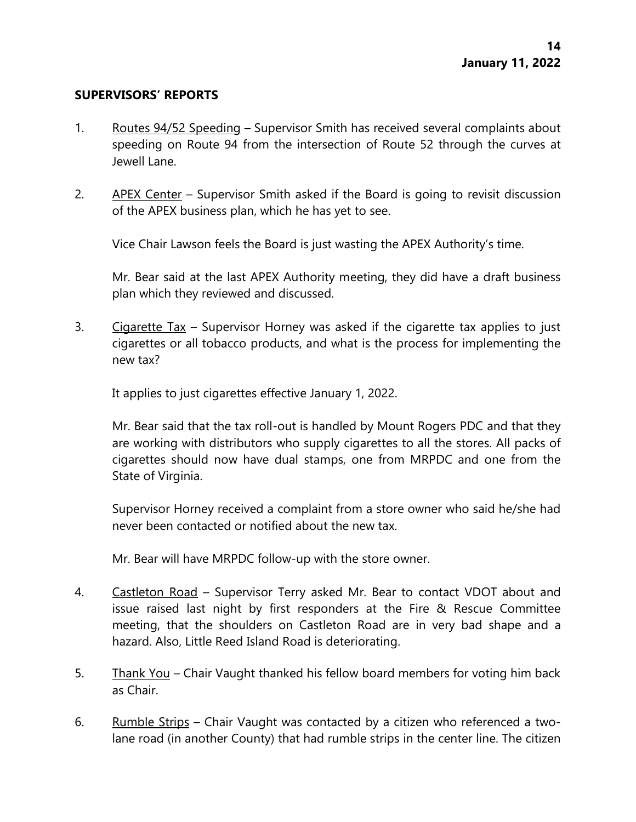#### **SUPERVISORS' REPORTS**

- 1. Routes 94/52 Speeding Supervisor Smith has received several complaints about speeding on Route 94 from the intersection of Route 52 through the curves at Jewell Lane.
- 2. APEX Center Supervisor Smith asked if the Board is going to revisit discussion of the APEX business plan, which he has yet to see.

Vice Chair Lawson feels the Board is just wasting the APEX Authority's time.

Mr. Bear said at the last APEX Authority meeting, they did have a draft business plan which they reviewed and discussed.

3. Cigarette Tax – Supervisor Horney was asked if the cigarette tax applies to just cigarettes or all tobacco products, and what is the process for implementing the new tax?

It applies to just cigarettes effective January 1, 2022.

Mr. Bear said that the tax roll-out is handled by Mount Rogers PDC and that they are working with distributors who supply cigarettes to all the stores. All packs of cigarettes should now have dual stamps, one from MRPDC and one from the State of Virginia.

Supervisor Horney received a complaint from a store owner who said he/she had never been contacted or notified about the new tax.

Mr. Bear will have MRPDC follow-up with the store owner.

- 4. Castleton Road Supervisor Terry asked Mr. Bear to contact VDOT about and issue raised last night by first responders at the Fire & Rescue Committee meeting, that the shoulders on Castleton Road are in very bad shape and a hazard. Also, Little Reed Island Road is deteriorating.
- 5. Thank You Chair Vaught thanked his fellow board members for voting him back as Chair.
- 6. Rumble Strips Chair Vaught was contacted by a citizen who referenced a twolane road (in another County) that had rumble strips in the center line. The citizen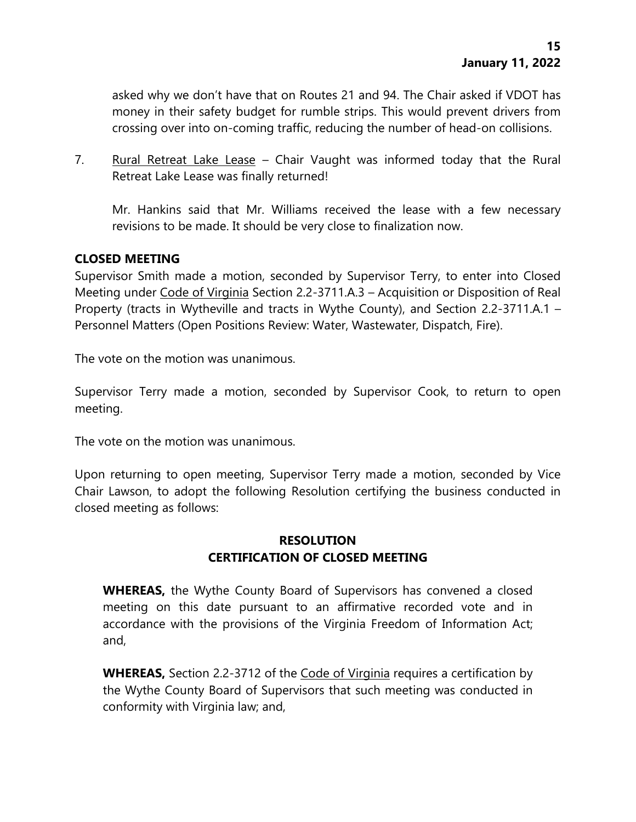asked why we don't have that on Routes 21 and 94. The Chair asked if VDOT has money in their safety budget for rumble strips. This would prevent drivers from crossing over into on-coming traffic, reducing the number of head-on collisions.

7. Rural Retreat Lake Lease – Chair Vaught was informed today that the Rural Retreat Lake Lease was finally returned!

Mr. Hankins said that Mr. Williams received the lease with a few necessary revisions to be made. It should be very close to finalization now.

## **CLOSED MEETING**

Supervisor Smith made a motion, seconded by Supervisor Terry, to enter into Closed Meeting under Code of Virginia Section 2.2-3711.A.3 – Acquisition or Disposition of Real Property (tracts in Wytheville and tracts in Wythe County), and Section 2.2-3711.A.1 – Personnel Matters (Open Positions Review: Water, Wastewater, Dispatch, Fire).

The vote on the motion was unanimous.

Supervisor Terry made a motion, seconded by Supervisor Cook, to return to open meeting.

The vote on the motion was unanimous.

Upon returning to open meeting, Supervisor Terry made a motion, seconded by Vice Chair Lawson, to adopt the following Resolution certifying the business conducted in closed meeting as follows:

# **RESOLUTION CERTIFICATION OF CLOSED MEETING**

**WHEREAS,** the Wythe County Board of Supervisors has convened a closed meeting on this date pursuant to an affirmative recorded vote and in accordance with the provisions of the Virginia Freedom of Information Act; and,

**WHEREAS,** Section 2.2-3712 of the Code of Virginia requires a certification by the Wythe County Board of Supervisors that such meeting was conducted in conformity with Virginia law; and,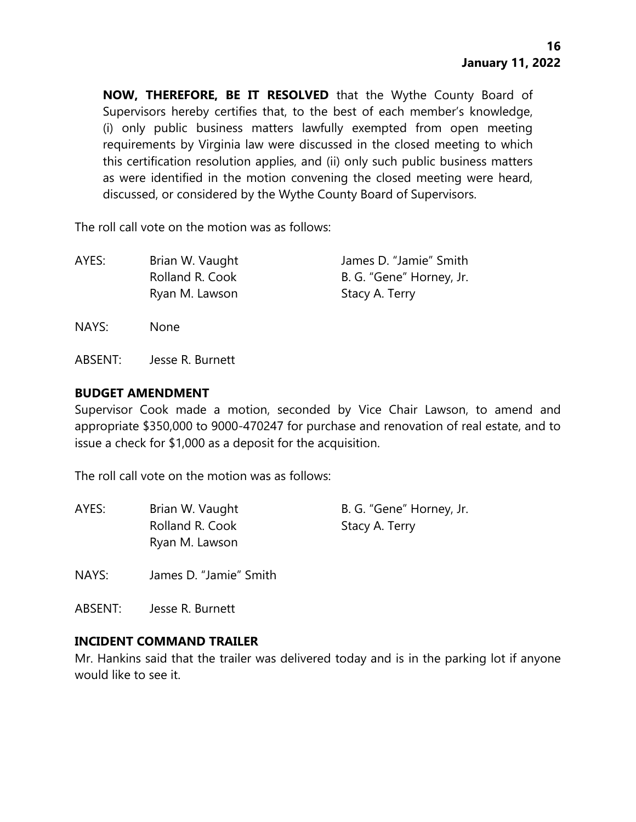**NOW, THEREFORE, BE IT RESOLVED** that the Wythe County Board of Supervisors hereby certifies that, to the best of each member's knowledge, (i) only public business matters lawfully exempted from open meeting requirements by Virginia law were discussed in the closed meeting to which this certification resolution applies, and (ii) only such public business matters as were identified in the motion convening the closed meeting were heard, discussed, or considered by the Wythe County Board of Supervisors.

The roll call vote on the motion was as follows:

| AYES: | Brian W. Vaught | James D. "Jamie" Smith   |
|-------|-----------------|--------------------------|
|       | Rolland R. Cook | B. G. "Gene" Horney, Jr. |
|       | Ryan M. Lawson  | Stacy A. Terry           |

NAYS: None

ABSENT: Jesse R. Burnett

#### **BUDGET AMENDMENT**

Supervisor Cook made a motion, seconded by Vice Chair Lawson, to amend and appropriate \$350,000 to 9000-470247 for purchase and renovation of real estate, and to issue a check for \$1,000 as a deposit for the acquisition.

The roll call vote on the motion was as follows:

| AYES: | Brian W. Vaught | B. G. "Gene" Horney, Jr. |
|-------|-----------------|--------------------------|
|       | Rolland R. Cook | Stacy A. Terry           |
|       | Ryan M. Lawson  |                          |

NAYS: James D. "Jamie" Smith

ABSENT: Jesse R. Burnett

#### **INCIDENT COMMAND TRAILER**

Mr. Hankins said that the trailer was delivered today and is in the parking lot if anyone would like to see it.